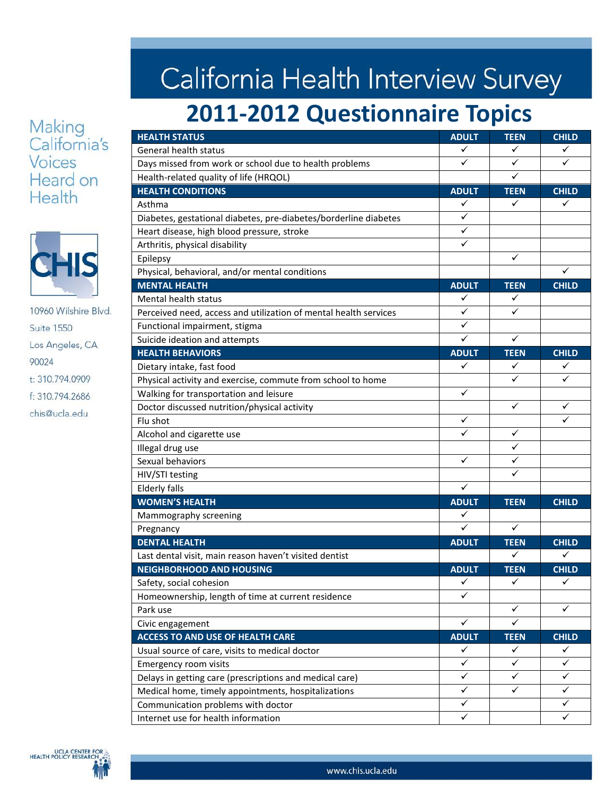#### Making California's **Voices** Heard on Health



10960 Wilshire Blvd. **Suite 1550** Los Angeles, CA 90024 t: 310.794.0909 f: 310.794.2686 chis@ucla.edu

# California Health Interview Survey

## 2011-2012 Questionnaire Topics

| <b>HEALTH STATUS</b>                                             | <b>ADULT</b> | <b>TEEN</b>  | <b>CHILD</b> |
|------------------------------------------------------------------|--------------|--------------|--------------|
| General health status                                            | ✓            | $\checkmark$ | ✓            |
| Days missed from work or school due to health problems           | ✓            | ✓            | ✓            |
| Health-related quality of life (HRQOL)                           |              | ✓            |              |
| <b>HEALTH CONDITIONS</b>                                         | <b>ADULT</b> | <b>TEEN</b>  | <b>CHILD</b> |
| Asthma                                                           | ✓            | ✓            | ✓            |
| Diabetes, gestational diabetes, pre-diabetes/borderline diabetes | ✓            |              |              |
| Heart disease, high blood pressure, stroke                       | $\checkmark$ |              |              |
| Arthritis, physical disability                                   | ✓            |              |              |
| Epilepsy                                                         |              | $\checkmark$ |              |
| Physical, behavioral, and/or mental conditions                   |              |              | ✓            |
| <b>MENTAL HEALTH</b>                                             | <b>ADULT</b> | <b>TEEN</b>  | <b>CHILD</b> |
| Mental health status                                             | ✓            | ✓            |              |
| Perceived need, access and utilization of mental health services | ✓            | ✓            |              |
| Functional impairment, stigma                                    | ✓            |              |              |
| Suicide ideation and attempts                                    | ✓            | ✓            |              |
| <b>HEALTH BEHAVIORS</b>                                          | <b>ADULT</b> | <b>TEEN</b>  | <b>CHILD</b> |
| Dietary intake, fast food                                        | ✓            | ✓            | ✓            |
| Physical activity and exercise, commute from school to home      |              | ✓            | ✓            |
| Walking for transportation and leisure                           | $\checkmark$ |              |              |
| Doctor discussed nutrition/physical activity                     |              | $\checkmark$ | ✓            |
| Flu shot                                                         | ✓            |              | ✓            |
| Alcohol and cigarette use                                        | ✓            | ✓            |              |
| Illegal drug use                                                 |              | ✓            |              |
| Sexual behaviors                                                 | ✓            | $\checkmark$ |              |
| HIV/STI testing                                                  |              | ✓            |              |
| <b>Elderly falls</b>                                             | ✓            |              |              |
| <b>WOMEN'S HEALTH</b>                                            | <b>ADULT</b> | <b>TEEN</b>  | <b>CHILD</b> |
| Mammography screening                                            | ✓            |              |              |
| Pregnancy                                                        | $\checkmark$ | $\checkmark$ |              |
| <b>DENTAL HEALTH</b>                                             | <b>ADULT</b> | <b>TEEN</b>  | <b>CHILD</b> |
| Last dental visit, main reason haven't visited dentist           |              | ✓            | ✓            |
| <b>NEIGHBORHOOD AND HOUSING</b>                                  | <b>ADULT</b> | <b>TEEN</b>  | <b>CHILD</b> |
| Safety, social cohesion                                          | ✓            | ✓            | ✓            |
| Homeownership, length of time at current residence               | ✓            |              |              |
| Park use                                                         |              | ✓            | $\checkmark$ |
| Civic engagement                                                 | $\checkmark$ | $\checkmark$ |              |
| <b>ACCESS TO AND USE OF HEALTH CARE</b>                          | <b>ADULT</b> | <b>TEEN</b>  | <b>CHILD</b> |
| Usual source of care, visits to medical doctor                   | ✓            | ✓            | ✓            |
| Emergency room visits                                            | ✓            | $\checkmark$ | $\checkmark$ |
| Delays in getting care (prescriptions and medical care)          | ✓            | ✓            | ✓            |
| Medical home, timely appointments, hospitalizations              | ✓            | ✓            | ✓            |
| Communication problems with doctor                               | ✓            |              | ✓            |
| Internet use for health information                              | ✓            |              | $\checkmark$ |